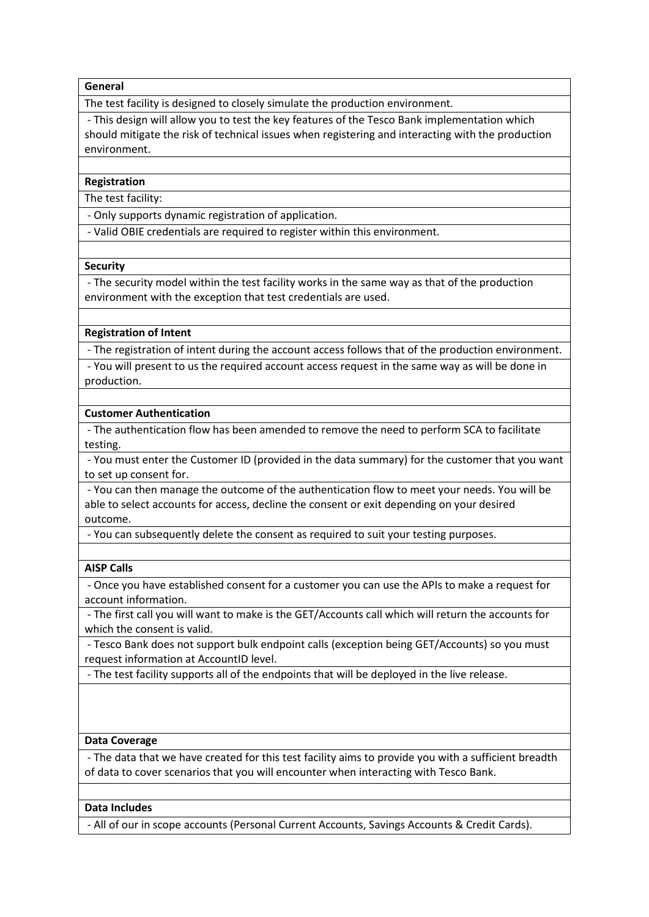### **General**

The test facility is designed to closely simulate the production environment.

- This design will allow you to test the key features of the Tesco Bank implementation which should mitigate the risk of technical issues when registering and interacting with the production environment.

#### **Registration**

The test facility:

- Only supports dynamic registration of application.

- Valid OBIE credentials are required to register within this environment.

#### **Security**

- The security model within the test facility works in the same way as that of the production environment with the exception that test credentials are used.

#### **Registration of Intent**

- The registration of intent during the account access follows that of the production environment.

- You will present to us the required account access request in the same way as will be done in production.

#### **Customer Authentication**

- The authentication flow has been amended to remove the need to perform SCA to facilitate testing.

- You must enter the Customer ID (provided in the data summary) for the customer that you want to set up consent for.

- You can then manage the outcome of the authentication flow to meet your needs. You will be able to select accounts for access, decline the consent or exit depending on your desired outcome.

- You can subsequently delete the consent as required to suit your testing purposes.

## **AISP Calls**

- Once you have established consent for a customer you can use the APIs to make a request for account information.

- The first call you will want to make is the GET/Accounts call which will return the accounts for which the consent is valid.

- Tesco Bank does not support bulk endpoint calls (exception being GET/Accounts) so you must request information at AccountID level.

- The test facility supports all of the endpoints that will be deployed in the live release.

## **Data Coverage**

- The data that we have created for this test facility aims to provide you with a sufficient breadth of data to cover scenarios that you will encounter when interacting with Tesco Bank.

### **Data Includes**

- All of our in scope accounts (Personal Current Accounts, Savings Accounts & Credit Cards).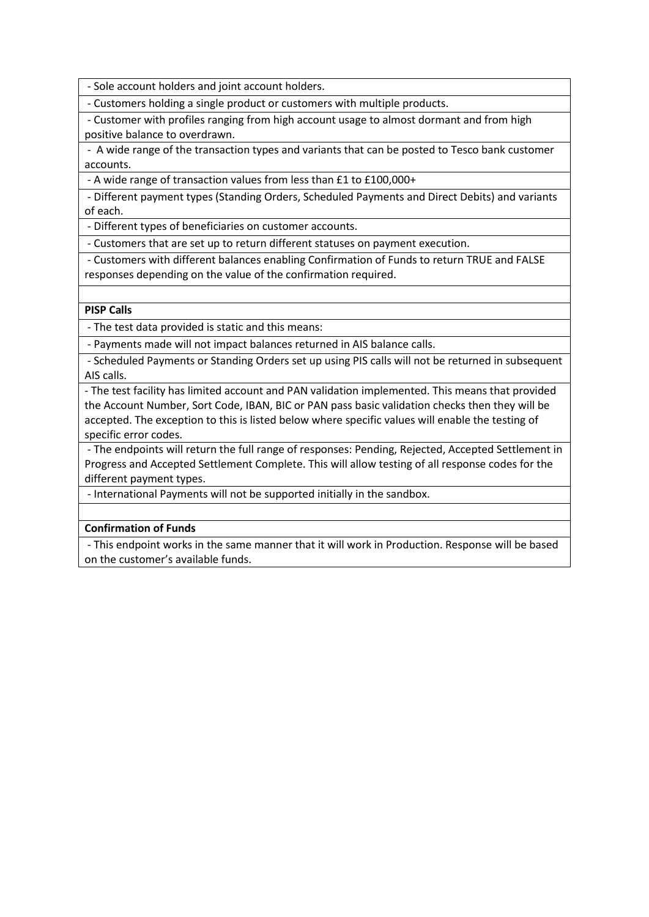- Sole account holders and joint account holders.

- Customers holding a single product or customers with multiple products.

- Customer with profiles ranging from high account usage to almost dormant and from high positive balance to overdrawn.

- A wide range of the transaction types and variants that can be posted to Tesco bank customer accounts.

- A wide range of transaction values from less than £1 to £100,000+

- Different payment types (Standing Orders, Scheduled Payments and Direct Debits) and variants of each.

- Different types of beneficiaries on customer accounts.

- Customers that are set up to return different statuses on payment execution.

- Customers with different balances enabling Confirmation of Funds to return TRUE and FALSE responses depending on the value of the confirmation required.

## **PISP Calls**

- The test data provided is static and this means:

- Payments made will not impact balances returned in AIS balance calls.

- Scheduled Payments or Standing Orders set up using PIS calls will not be returned in subsequent AIS calls.

- The test facility has limited account and PAN validation implemented. This means that provided the Account Number, Sort Code, IBAN, BIC or PAN pass basic validation checks then they will be accepted. The exception to this is listed below where specific values will enable the testing of specific error codes.

- The endpoints will return the full range of responses: Pending, Rejected, Accepted Settlement in Progress and Accepted Settlement Complete. This will allow testing of all response codes for the different payment types.

- International Payments will not be supported initially in the sandbox.

# **Confirmation of Funds**

- This endpoint works in the same manner that it will work in Production. Response will be based on the customer's available funds.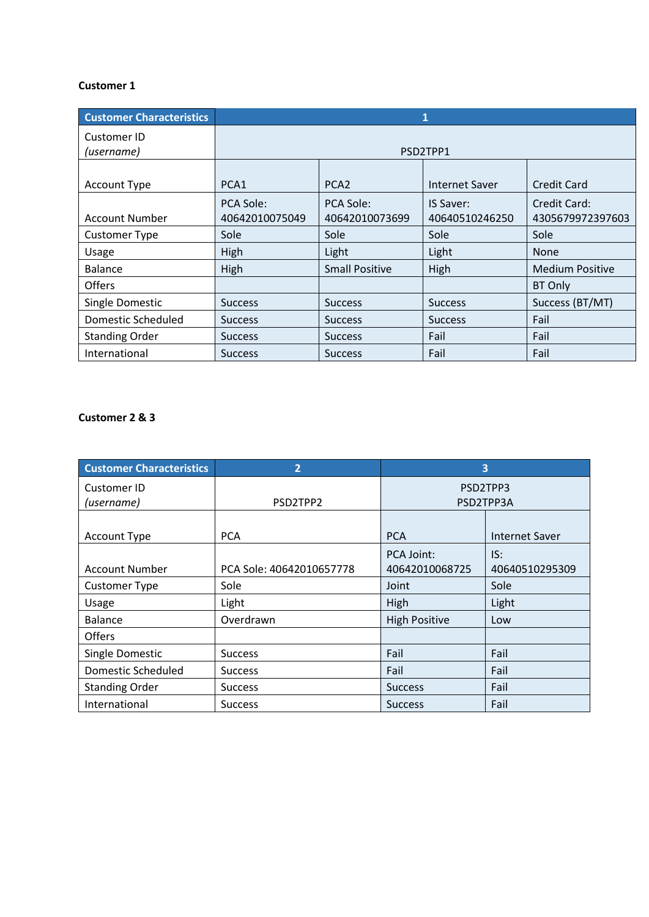## **Customer 1**

| <b>Customer Characteristics</b> | 1                           |                             |                                    |                                  |
|---------------------------------|-----------------------------|-----------------------------|------------------------------------|----------------------------------|
| Customer ID<br>(username)       | PSD2TPP1                    |                             |                                    |                                  |
| Account Type                    | PCA1                        | PCA <sub>2</sub>            | <b>Internet Saver</b>              | <b>Credit Card</b>               |
| <b>Account Number</b>           | PCA Sole:<br>40642010075049 | PCA Sole:<br>40642010073699 | <b>IS Saver:</b><br>40640510246250 | Credit Card:<br>4305679972397603 |
| <b>Customer Type</b>            | Sole                        | Sole                        | Sole                               | Sole                             |
| Usage                           | High                        | Light                       | Light                              | <b>None</b>                      |
| Balance                         | High                        | <b>Small Positive</b>       | High                               | <b>Medium Positive</b>           |
| <b>Offers</b>                   |                             |                             |                                    | BT Only                          |
| Single Domestic                 | <b>Success</b>              | <b>Success</b>              | <b>Success</b>                     | Success (BT/MT)                  |
| Domestic Scheduled              | <b>Success</b>              | <b>Success</b>              | <b>Success</b>                     | Fail                             |
| <b>Standing Order</b>           | <b>Success</b>              | <b>Success</b>              | Fail                               | Fail                             |
| International                   | <b>Success</b>              | <b>Success</b>              | Fail                               | Fail                             |

# **Customer 2 & 3**

| <b>Customer Characteristics</b> | $\overline{2}$           | 3                    |                       |
|---------------------------------|--------------------------|----------------------|-----------------------|
| <b>Customer ID</b>              |                          | PSD2TPP3             |                       |
| (username)                      | PSD2TPP2                 | PSD2TPP3A            |                       |
|                                 |                          |                      |                       |
| <b>Account Type</b>             | <b>PCA</b>               | <b>PCA</b>           | <b>Internet Saver</b> |
|                                 |                          | PCA Joint:           | IS:                   |
| <b>Account Number</b>           | PCA Sole: 40642010657778 | 40642010068725       | 40640510295309        |
| <b>Customer Type</b>            | Sole                     | Joint                | Sole                  |
| Usage                           | Light                    | High                 | Light                 |
| <b>Balance</b>                  | Overdrawn                | <b>High Positive</b> | Low                   |
| <b>Offers</b>                   |                          |                      |                       |
| Single Domestic                 | <b>Success</b>           | Fail                 | Fail                  |
| <b>Domestic Scheduled</b>       | <b>Success</b>           | Fail                 | Fail                  |
| <b>Standing Order</b>           | <b>Success</b>           | <b>Success</b>       | Fail                  |
| International                   | <b>Success</b>           | <b>Success</b>       | Fail                  |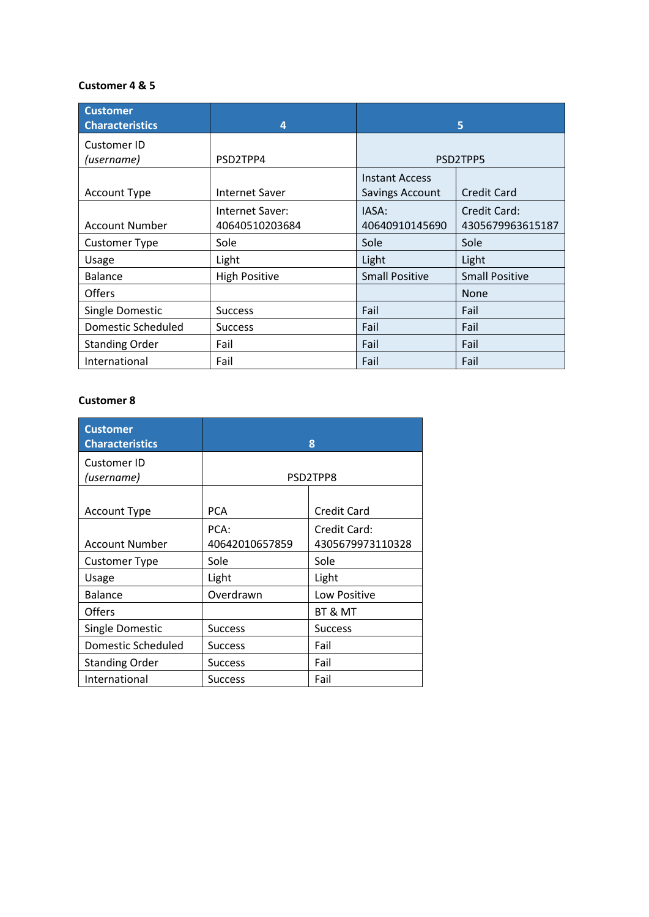## **Customer 4 & 5**

| <b>Customer</b><br><b>Characteristics</b> | $\overline{a}$        |                       | 5                     |
|-------------------------------------------|-----------------------|-----------------------|-----------------------|
| Customer ID                               |                       |                       |                       |
| (username)                                | PSD2TPP4              | PSD2TPP5              |                       |
|                                           |                       | <b>Instant Access</b> |                       |
| Account Type                              | <b>Internet Saver</b> | Savings Account       | <b>Credit Card</b>    |
|                                           | Internet Saver:       | IASA:                 | Credit Card:          |
| <b>Account Number</b>                     | 40640510203684        | 40640910145690        | 4305679963615187      |
| <b>Customer Type</b>                      | Sole                  | Sole                  | Sole                  |
| Usage                                     | Light                 | Light                 | Light                 |
| <b>Balance</b>                            | <b>High Positive</b>  | <b>Small Positive</b> | <b>Small Positive</b> |
| <b>Offers</b>                             |                       |                       | <b>None</b>           |
| Single Domestic                           | <b>Success</b>        | Fail                  | Fail                  |
| Domestic Scheduled                        | <b>Success</b>        | Fail                  | Fail                  |
| <b>Standing Order</b>                     | Fail                  | Fail                  | Fail                  |
| International                             | Fail                  | Fail                  | Fail                  |

# **Customer 8**

| <b>Customer</b><br><b>Characteristics</b> |                        | 8                                |
|-------------------------------------------|------------------------|----------------------------------|
| Customer ID<br>(username)                 |                        | PSD2TPP8                         |
| <b>Account Type</b>                       | <b>PCA</b>             | <b>Credit Card</b>               |
| <b>Account Number</b>                     | PCA:<br>40642010657859 | Credit Card:<br>4305679973110328 |
| Customer Type                             | Sole                   | Sole                             |
| Usage                                     | Light                  | Light                            |
| <b>Balance</b>                            | Overdrawn              | Low Positive                     |
| Offers                                    |                        | BT & MT                          |
| Single Domestic                           | <b>Success</b>         | <b>Success</b>                   |
| <b>Domestic Scheduled</b>                 | <b>Success</b>         | Fail                             |
| <b>Standing Order</b>                     | <b>Success</b>         | Fail                             |
| International                             | <b>Success</b>         | Fail                             |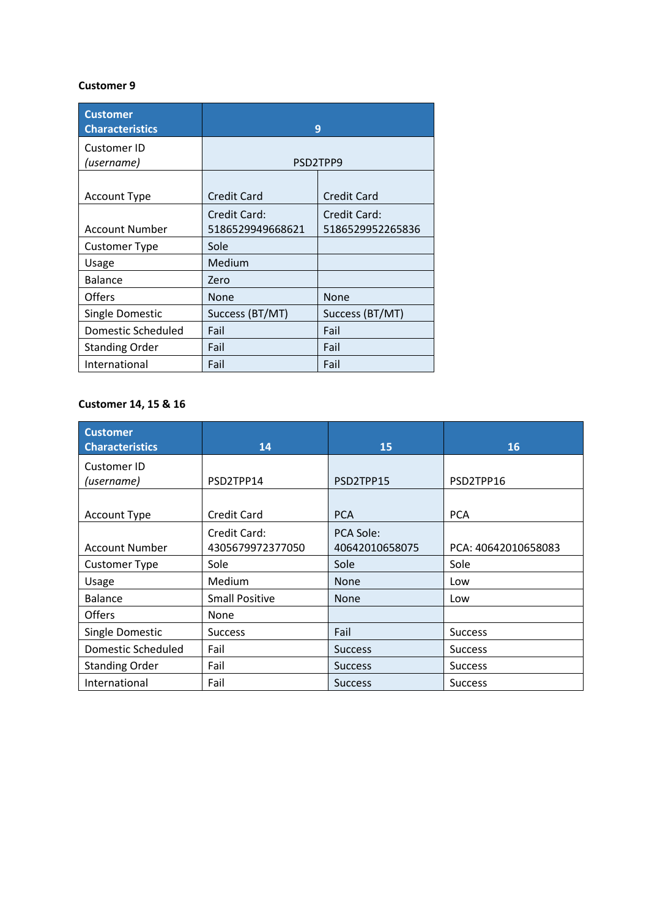### **Customer 9**

| <b>Customer</b><br><b>Characteristics</b> |                                  | 9                                |
|-------------------------------------------|----------------------------------|----------------------------------|
| <b>Customer ID</b><br>(username)          |                                  | PSD2TPP9                         |
| <b>Account Type</b>                       | <b>Credit Card</b>               | <b>Credit Card</b>               |
| <b>Account Number</b>                     | Credit Card:<br>5186529949668621 | Credit Card:<br>5186529952265836 |
| Customer Type                             | Sole                             |                                  |
| Usage                                     | Medium                           |                                  |
| <b>Balance</b>                            | Zero                             |                                  |
| <b>Offers</b>                             | <b>None</b>                      | <b>None</b>                      |
| <b>Single Domestic</b>                    | Success (BT/MT)                  | Success (BT/MT)                  |
| <b>Domestic Scheduled</b>                 | Fail                             | Fail                             |
| <b>Standing Order</b>                     | Fail                             | Fail                             |
| International                             | Fail                             | Fail                             |

# **Customer 14, 15 & 16**

| <b>Customer</b><br><b>Characteristics</b> | 14                    | 15               | 16                  |
|-------------------------------------------|-----------------------|------------------|---------------------|
| Customer ID                               |                       |                  |                     |
| (username)                                | PSD2TPP14             | PSD2TPP15        | PSD2TPP16           |
| <b>Account Type</b>                       | <b>Credit Card</b>    | <b>PCA</b>       | <b>PCA</b>          |
|                                           |                       |                  |                     |
|                                           | Credit Card:          | <b>PCA Sole:</b> |                     |
| <b>Account Number</b>                     | 4305679972377050      | 40642010658075   | PCA: 40642010658083 |
| <b>Customer Type</b>                      | Sole                  | Sole             | Sole                |
| Usage                                     | Medium                | <b>None</b>      | Low                 |
| <b>Balance</b>                            | <b>Small Positive</b> | <b>None</b>      | Low                 |
| <b>Offers</b>                             | None                  |                  |                     |
| Single Domestic                           | <b>Success</b>        | Fail             | <b>Success</b>      |
| Domestic Scheduled                        | Fail                  | <b>Success</b>   | <b>Success</b>      |
| <b>Standing Order</b>                     | Fail                  | <b>Success</b>   | <b>Success</b>      |
| International                             | Fail                  | <b>Success</b>   | <b>Success</b>      |